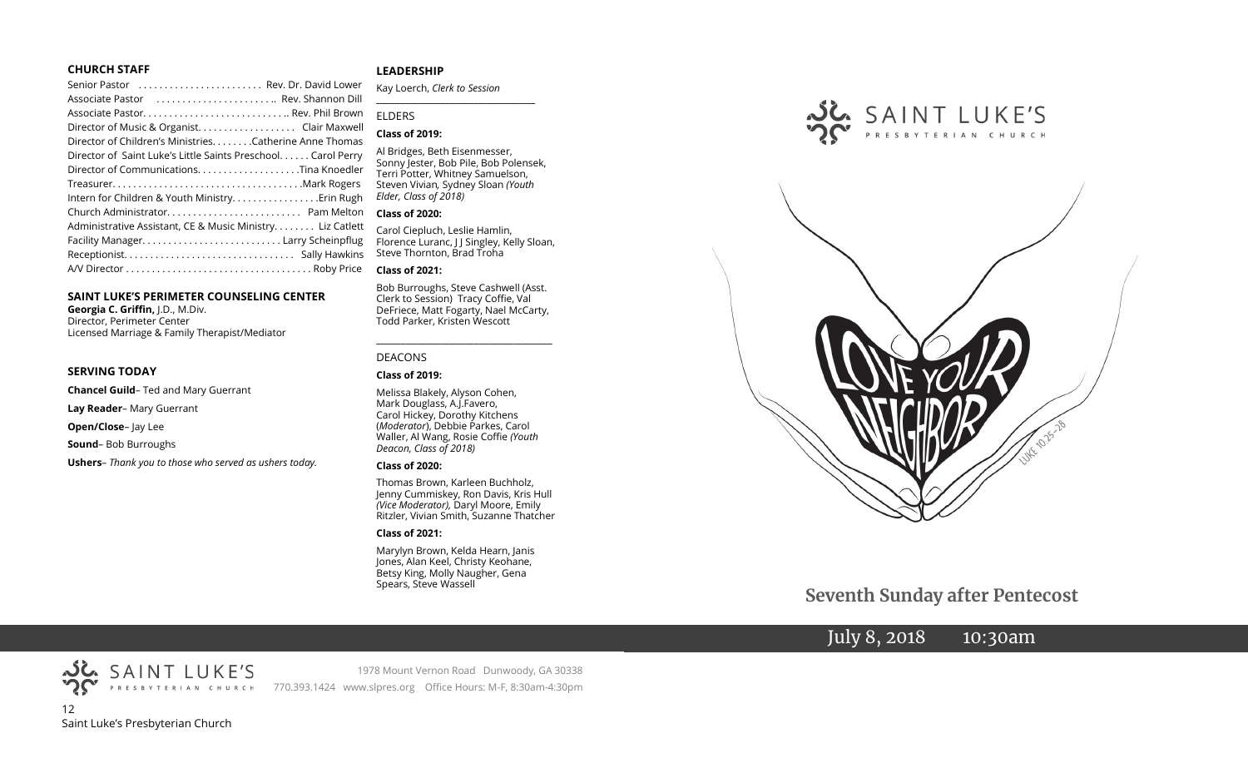#### **CHURCH STAFF**

| Senior Pastor (etc Rev. Dr. David Lower                      |
|--------------------------------------------------------------|
| Associate Pastor  Rev. Shannon Dill                          |
|                                                              |
| Director of Music & Organist. Clair Maxwell                  |
| Director of Children's Ministries. Catherine Anne Thomas     |
| Director of Saint Luke's Little Saints Preschool Carol Perry |
| Director of CommunicationsTina Knoedler                      |
|                                                              |
| Intern for Children & Youth MinistryErin Rugh                |
|                                                              |
| Administrative Assistant, CE & Music Ministry Liz Catlett    |
|                                                              |
|                                                              |
|                                                              |
|                                                              |

#### **SAINT LUKE'S PERIMETER COUNSELING CENTER**

**Georgia C. Griffin,** J.D., M.Div. Director, Perimeter Center Licensed Marriage & Family Therapist/Mediator

#### **SERVING TODAY**

**Chancel Guild**– Ted and Mary Guerrant

**Lay Reader**– Mary Guerrant

**Open/Close**– Jay Lee

**Sound**– Bob Burroughs

**Ushers**– *Thank you to those who served as ushers today.*

#### **LEADERSHIP**

Kay Loerch, *Clerk to Session*  **\_\_\_\_\_\_\_\_\_\_\_\_\_\_\_\_\_\_\_\_\_\_\_\_\_\_\_\_\_\_\_\_\_\_\_\_\_\_\_**

#### ELDERS

#### **Class of 2019:**

Al Bridges, Beth Eisenmesser, Sonny Jester, Bob Pile, Bob Polensek, Terri Potter, Whitney Samuelson, Steven Vivian*,* Sydney Sloan *(Youth Elder, Class of 2018)*

#### **Class of 2020:**

Carol Ciepluch, Leslie Hamlin, Florence Luranc, J J Singley, Kelly Sloan, Steve Thornton, Brad Troha

#### **Class of 2021:**

Bob Burroughs, Steve Cashwell (Asst. Clerk to Session) Tracy Coffie, Val DeFriece, Matt Fogarty, Nael McCarty, Todd Parker, Kristen Wescott

\_\_\_\_\_\_\_\_\_\_\_\_\_\_\_\_\_\_\_\_\_\_\_\_\_\_\_\_\_\_\_\_\_\_\_\_

#### DEACONS

#### **Class of 2019:**

Melissa Blakely, Alyson Cohen, Mark Douglass, A.J.Favero, Carol Hickey, Dorothy Kitchens (*Moderator*), Debbie Parkes, Carol Waller, Al Wang, Rosie Coffie *(Youth Deacon, Class of 2018)* 

#### **Class of 2020:**

Thomas Brown, Karleen Buchholz, Jenny Cummiskey, Ron Davis, Kris Hull *(Vice Moderator),* Daryl Moore, Emily Ritzler, Vivian Smith, Suzanne Thatcher

#### **Class of 2021:**

Marylyn Brown, Kelda Hearn, Janis Jones, Alan Keel, Christy Keohane, Betsy King, Molly Naugher, Gena Spears, Steve Wassell





 **Seventh Sunday after Pentecost**

# July 8, 2018 10:30am



1978 Mount Vernon Road Dunwoody, GA 30338 770.393.1424 www.slpres.org Office Hours: M-F, 8:30am-4:30pm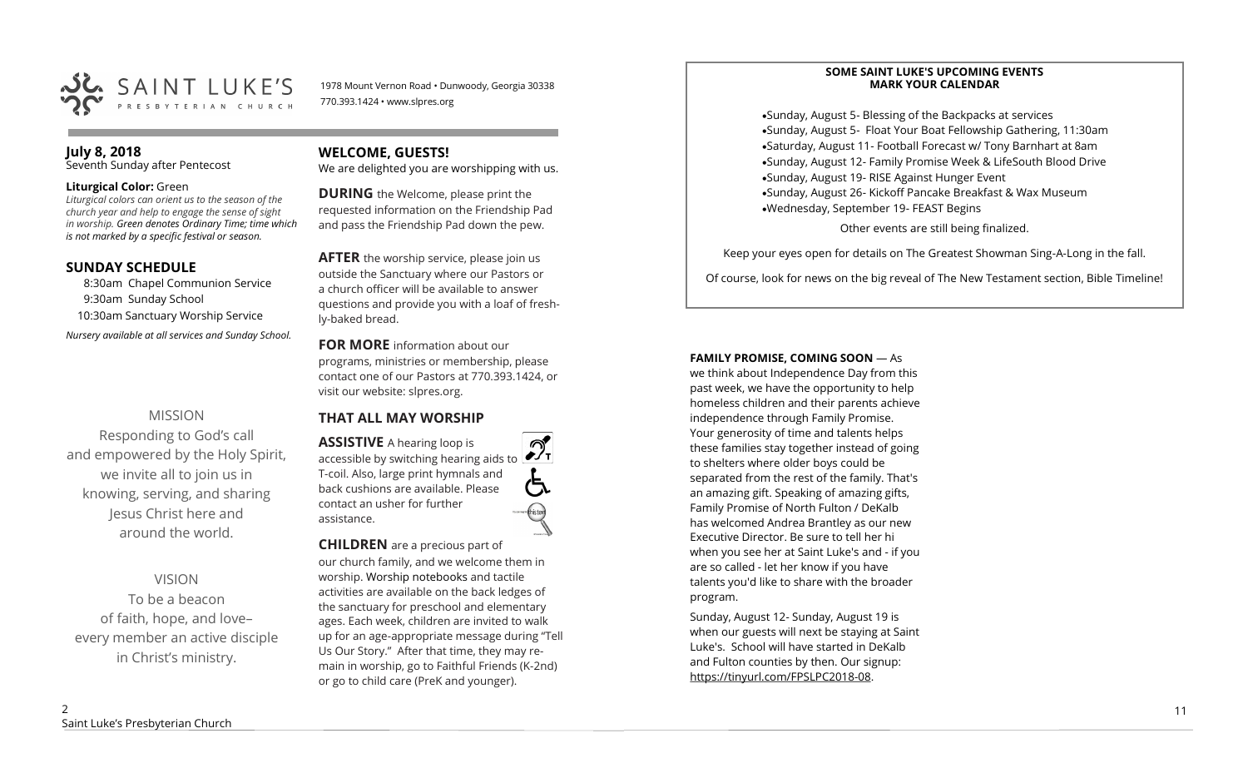

1978 Mount Vernon Road • Dunwoody, Georgia 30338 770.393.1424 • www.slpres.org

#### **July 8, 2018**

Seventh Sunday after Pentecost

#### **Liturgical Color:** Green

*Liturgical colors can orient us to the season of the church year and help to engage the sense of sight in worship. Green denotes Ordinary Time; time which is not marked by a specific festival or season.*

#### **SUNDAY SCHEDULE**

8:30am Chapel Communion Service 9:30am Sunday School 10:30am Sanctuary Worship Service

*Nursery available at all services and Sunday School.* 

## MISSION

Responding to God's call and empowered by the Holy Spirit, we invite all to join us in knowing, serving, and sharing Jesus Christ here and around the world.

VISION To be a beacon of faith, hope, and love– every member an active disciple in Christ's ministry.

## **WELCOME, GUESTS!**

We are delighted you are worshipping with us.

**DURING** the Welcome, please print the requested information on the Friendship Pad and pass the Friendship Pad down the pew.

**AFTER** the worship service, please join us outside the Sanctuary where our Pastors or a church officer will be available to answer questions and provide you with a loaf of freshly-baked bread.

**FOR MORE** information about our programs, ministries or membership, please contact one of our Pastors at 770.393.1424, or visit our website: slpres.org.

## **THAT ALL MAY WORSHIP**

**ASSISTIVE** A hearing loop is  $\mathcal{D}_{\mathrm{r}}$ accessible by switching hearing aids to T-coil. Also, large print hymnals and back cushions are available. Please contact an usher for further assistance.

**CHILDREN** are a precious part of our church family, and we welcome them in worship. Worship notebooks and tactile activities are available on the back ledges of the sanctuary for preschool and elementary ages. Each week, children are invited to walk up for an age-appropriate message during "Tell Us Our Story." After that time, they may remain in worship, go to Faithful Friends (K-2nd) or go to child care (PreK and younger).

#### **SOME SAINT LUKE'S UPCOMING EVENTS MARK YOUR CALENDAR**

•Sunday, August 5- Blessing of the Backpacks at services •Sunday, August 5- Float Your Boat Fellowship Gathering, 11:30am •Saturday, August 11- Football Forecast w/ Tony Barnhart at 8am •Sunday, August 12- Family Promise Week & LifeSouth Blood Drive •Sunday, August 19- RISE Against Hunger Event •Sunday, August 26- Kickoff Pancake Breakfast & Wax Museum •Wednesday, September 19- FEAST Begins Other events are still being finalized.

Keep your eyes open for details on The Greatest Showman Sing-A-Long in the fall.

Of course, look for news on the big reveal of The New Testament section, Bible Timeline!

#### **FAMILY PROMISE, COMING SOON** — As

we think about Independence Day from this past week, we have the opportunity to help homeless children and their parents achieve independence through Family Promise. Your generosity of time and talents helps these families stay together instead of going to shelters where older boys could be separated from the rest of the family. That's an amazing gift. Speaking of amazing gifts, Family Promise of North Fulton / DeKalb has welcomed Andrea Brantley as our new Executive Director. Be sure to tell her hi when you see her at Saint Luke's and - if you are so called - let her know if you have talents you'd like to share with the broader program.

Sunday, August 12- Sunday, August 19 is when our guests will next be staying at Saint Luke's. School will have started in DeKalb and Fulton counties by then. Our signup: [https://tinyurl.com/FPSLPC2018](https://tinyurl.com/FPSLPC2018-08)-08.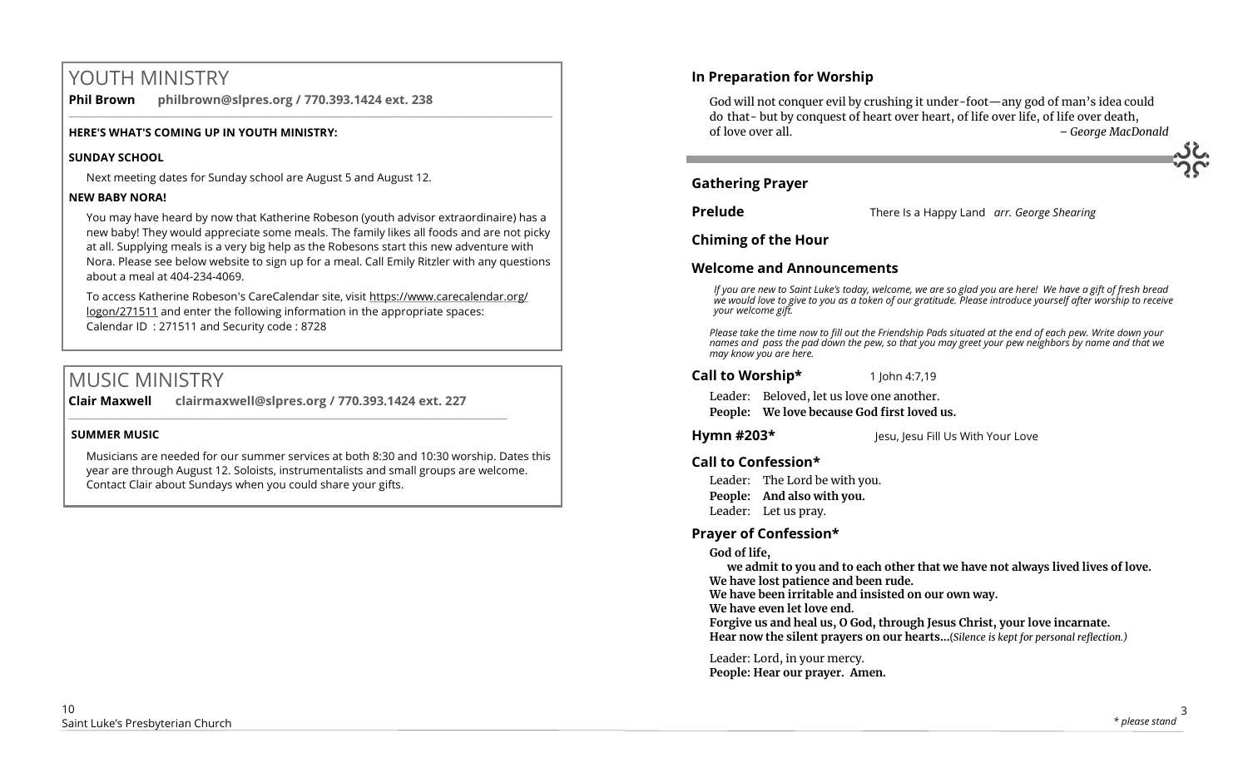# YOUTH MINISTRY

**Phil Brown philbrown@slpres.org / 770.393.1424 ext. 238**   $\_$  ,  $\_$  ,  $\_$  ,  $\_$  ,  $\_$  ,  $\_$  ,  $\_$  ,  $\_$  ,  $\_$  ,  $\_$  ,  $\_$  ,  $\_$  ,  $\_$  ,  $\_$  ,  $\_$  ,  $\_$  ,  $\_$  ,  $\_$  ,  $\_$  ,  $\_$  ,  $\_$  ,  $\_$  ,  $\_$  ,  $\_$  ,  $\_$  ,  $\_$  ,  $\_$  ,  $\_$  ,  $\_$  ,  $\_$  ,  $\_$  ,  $\_$  ,  $\_$  ,  $\_$  ,  $\_$  ,  $\_$  ,  $\_$  ,

#### **HERE'S WHAT'S COMING UP IN YOUTH MINISTRY:**

#### **SUNDAY SCHOOL**

Next meeting dates for Sunday school are August 5 and August 12.

#### **NEW BABY NORA!**

You may have heard by now that Katherine Robeson (youth advisor extraordinaire) has a new baby! They would appreciate some meals. The family likes all foods and are not picky at all. Supplying meals is a very big help as the Robesons start this new adventure with Nora. Please see below website to sign up for a meal. Call Emily Ritzler with any questions about a meal at 404-234-4069.

To access Katherine Robeson's CareCalendar site, visit [https://www.carecalendar.org/](https://www.carecalendar.org/logon/271511) [logon/271511](https://www.carecalendar.org/logon/271511) and enter the following information in the appropriate spaces: Calendar ID : 271511 and Security code : 8728

# MUSIC MINISTRY

**Clair Maxwell clairmaxwell@slpres.org / 770.393.1424 ext. 227**   $\_$  , and the set of the set of the set of the set of the set of the set of the set of the set of the set of the set of the set of the set of the set of the set of the set of the set of the set of the set of the set of th

#### **SUMMER MUSIC**

Musicians are needed for our summer services at both 8:30 and 10:30 worship. Dates this year are through August 12. Soloists, instrumentalists and small groups are welcome. Contact Clair about Sundays when you could share your gifts.

## **In Preparation for Worship**

God will not conquer evil by crushing it under-foot—any god of man's idea could do that- but by conquest of heart over heart, of life over life, of life over death, of love over all. *– George MacDonald*

## **Gathering Prayer**

**Prelude** There Is a Happy Land *arr. George Shearing* 

**Chiming of the Hour**

## **Welcome and Announcements**

*If you are new to Saint Luke's today, welcome, we are so glad you are here! We have a gift of fresh bread we would love to give to you as a token of our gratitude. Please introduce yourself after worship to receive your welcome gift.*

*Please take the time now to fill out the Friendship Pads situated at the end of each pew. Write down your names and pass the pad down the pew, so that you may greet your pew neighbors by name and that we may know you are here.*

**Call to Worship\*** 1 John 4:7,19

Leader: Beloved, let us love one another. **People: We love because God first loved us.**

**Hymn #203\*** Jesu, Jesu Fill Us With Your Love

## **Call to Confession\***

Leader: The Lord be with you. **People: And also with you.** Leader: Let us pray.

## **Prayer of Confession\***

**God of life,**

**we admit to you and to each other that we have not always lived lives of love. We have lost patience and been rude.**

**We have been irritable and insisted on our own way.**

**We have even let love end.**

**Forgive us and heal us, O God, through Jesus Christ, your love incarnate. Hear now the silent prayers on our hearts...**(*Silence is kept for personal reflection.)*

Leader: Lord, in your mercy. **People: Hear our prayer. Amen.**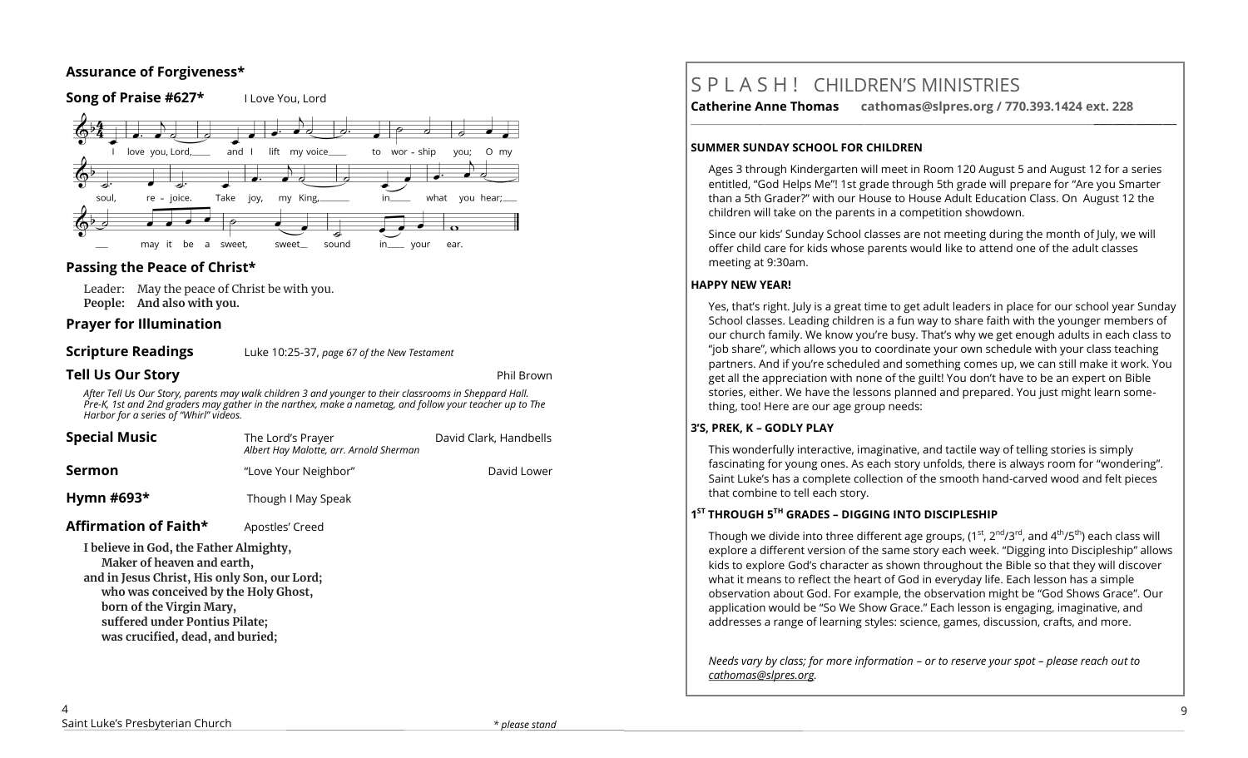## **Assurance of Forgiveness\***



## **Passing the Peace of Christ\***

Leader: May the peace of Christ be with you. **People: And also with you.** 

#### **Prayer for Illumination**

| <b>Scripture Readings</b> | Luke 10:25-37, page 67 of the New Testament |
|---------------------------|---------------------------------------------|
|                           |                                             |

**Tell Us Our Story Phil Brown and Story <b>Phil Brown** 

*After Tell Us Our Story, parents may walk children 3 and younger to their classrooms in Sheppard Hall. Pre-K, 1st and 2nd graders may gather in the narthex, make a nametag, and follow your teacher up to The Harbor for a series of "Whirl" videos.*

| <b>Special Music</b>                                                                                                                                                                                                       | The Lord's Prayer<br>Albert Hay Malotte, arr. Arnold Sherman | David Clark, Handbells |  |
|----------------------------------------------------------------------------------------------------------------------------------------------------------------------------------------------------------------------------|--------------------------------------------------------------|------------------------|--|
| Sermon                                                                                                                                                                                                                     | "Love Your Neighbor"                                         | David Lower            |  |
| Hymn #693 $*$                                                                                                                                                                                                              | Though I May Speak                                           |                        |  |
| Affirmation of Faith*                                                                                                                                                                                                      | Apostles' Creed                                              |                        |  |
| I believe in God, the Father Almighty,<br>Maker of heaven and earth,<br>and in Jesus Christ, His only Son, our Lord;<br>who was conceived by the Holy Ghost,<br>born of the Virgin Mary,<br>suffered under Pontius Pilate; |                                                              |                        |  |

**was crucified, dead, and buried;**

# S P L A S H ! CHILDREN'S MINISTRIES

**Catherine Anne Thomas cathomas@slpres.org / 770.393.1424 ext. 228 \_\_\_\_\_\_\_\_\_\_\_\_\_\_\_\_\_\_\_\_\_\_\_\_\_\_\_\_\_\_\_\_\_\_\_\_\_\_\_\_\_\_\_\_\_\_\_\_\_\_\_\_\_\_\_\_\_\_\_\_\_\_\_\_\_\_\_\_\_\_\_\_\_\_\_\_\_\_\_\_\_\_\_\_\_\_\_\_\_\_\_\_\_\_\_\_\_\_\_\_\_\_\_\_\_\_** 

#### **SUMMER SUNDAY SCHOOL FOR CHILDREN**

Ages 3 through Kindergarten will meet in Room 120 August 5 and August 12 for a series entitled, "God Helps Me"! 1st grade through 5th grade will prepare for "Are you Smarter than a 5th Grader?" with our House to House Adult Education Class. On August 12 the children will take on the parents in a competition showdown.

Since our kids' Sunday School classes are not meeting during the month of July, we will offer child care for kids whose parents would like to attend one of the adult classes meeting at 9:30am.

#### **HAPPY NEW YEAR!**

Yes, that's right. July is a great time to get adult leaders in place for our school year Sunday School classes. Leading children is a fun way to share faith with the younger members of our church family. We know you're busy. That's why we get enough adults in each class to "job share", which allows you to coordinate your own schedule with your class teaching partners. And if you're scheduled and something comes up, we can still make it work. You get all the appreciation with none of the guilt! You don't have to be an expert on Bible stories, either. We have the lessons planned and prepared. You just might learn something, too! Here are our age group needs:

#### **3'S, PREK, K – GODLY PLAY**

This wonderfully interactive, imaginative, and tactile way of telling stories is simply fascinating for young ones. As each story unfolds, there is always room for "wondering". Saint Luke's has a complete collection of the smooth hand-carved wood and felt pieces that combine to tell each story.

#### **1 ST THROUGH 5TH GRADES – DIGGING INTO DISCIPLESHIP**

Though we divide into three different age groups,  $(1^{st}, 2^{nd}/3^{rd},$  and  $4^{th}/5^{th}$ ) each class will explore a different version of the same story each week. "Digging into Discipleship" allows kids to explore God's character as shown throughout the Bible so that they will discover what it means to reflect the heart of God in everyday life. Each lesson has a simple observation about God. For example, the observation might be "God Shows Grace". Our application would be "So We Show Grace." Each lesson is engaging, imaginative, and addresses a range of learning styles: science, games, discussion, crafts, and more.

*Needs vary by class; for more information – or to reserve your spot – please reach out to [cathomas@slpres.org.](mailto:cathomas@slpres.org)*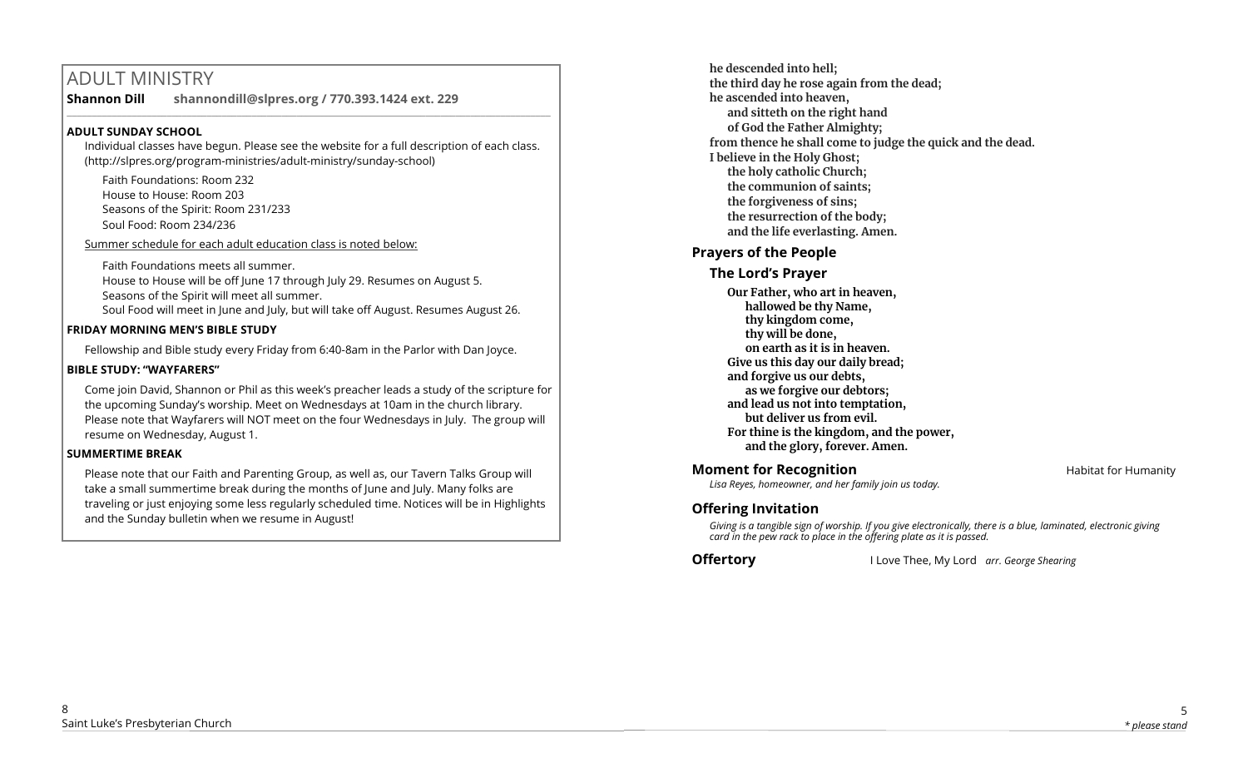# ADULT MINISTRY

**Shannon Dill shannondill@slpres.org / 770.393.1424 ext. 229**   $\_$  ,  $\_$  ,  $\_$  ,  $\_$  ,  $\_$  ,  $\_$  ,  $\_$  ,  $\_$  ,  $\_$  ,  $\_$  ,  $\_$  ,  $\_$  ,  $\_$  ,  $\_$  ,  $\_$  ,  $\_$  ,  $\_$  ,  $\_$  ,  $\_$ 

## **ADULT SUNDAY SCHOOL**

Individual classes have begun. Please see the website for a full description of each class. (http://slpres.org/program-ministries/adult-ministry/sunday-school)

Faith Foundations: Room 232 House to House: Room 203 Seasons of the Spirit: Room 231/233 Soul Food: Room 234/236

Summer schedule for each adult education class is noted below:

Faith Foundations meets all summer. House to House will be off June 17 through July 29. Resumes on August 5. Seasons of the Spirit will meet all summer. Soul Food will meet in June and July, but will take off August. Resumes August 26.

## **FRIDAY MORNING MEN'S BIBLE STUDY**

Fellowship and Bible study every Friday from 6:40-8am in the Parlor with Dan Joyce.

## **BIBLE STUDY: "WAYFARERS"**

Come join David, Shannon or Phil as this week's preacher leads a study of the scripture for the upcoming Sunday's worship. Meet on Wednesdays at 10am in the church library. Please note that Wayfarers will NOT meet on the four Wednesdays in July. The group will resume on Wednesday, August 1.

## **SUMMERTIME BREAK**

Please note that our Faith and Parenting Group, as well as, our Tavern Talks Group will take a small summertime break during the months of June and July. Many folks are traveling or just enjoying some less regularly scheduled time. Notices will be in Highlights and the Sunday bulletin when we resume in August!

**he descended into hell; the third day he rose again from the dead; he ascended into heaven, and sitteth on the right hand of God the Father Almighty; from thence he shall come to judge the quick and the dead. I believe in the Holy Ghost; the holy catholic Church; the communion of saints; the forgiveness of sins; the resurrection of the body; and the life everlasting. Amen.**

## **Prayers of the People**

## **The Lord's Prayer**

**Our Father, who art in heaven, hallowed be thy Name, thy kingdom come, thy will be done, on earth as it is in heaven. Give us this day our daily bread; and forgive us our debts, as we forgive our debtors; and lead us not into temptation, but deliver us from evil. For thine is the kingdom, and the power, and the glory, forever. Amen.**

## **Moment for Recognition Habitat for Humanity**

*Lisa Reyes, homeowner, and her family join us today.*

## **Offering Invitation**

*Giving is a tangible sign of worship. If you give electronically, there is a blue, laminated, electronic giving card in the pew rack to place in the offering plate as it is passed.*

**Offertory** I Love Thee, My Lord *arr. George Shearing*